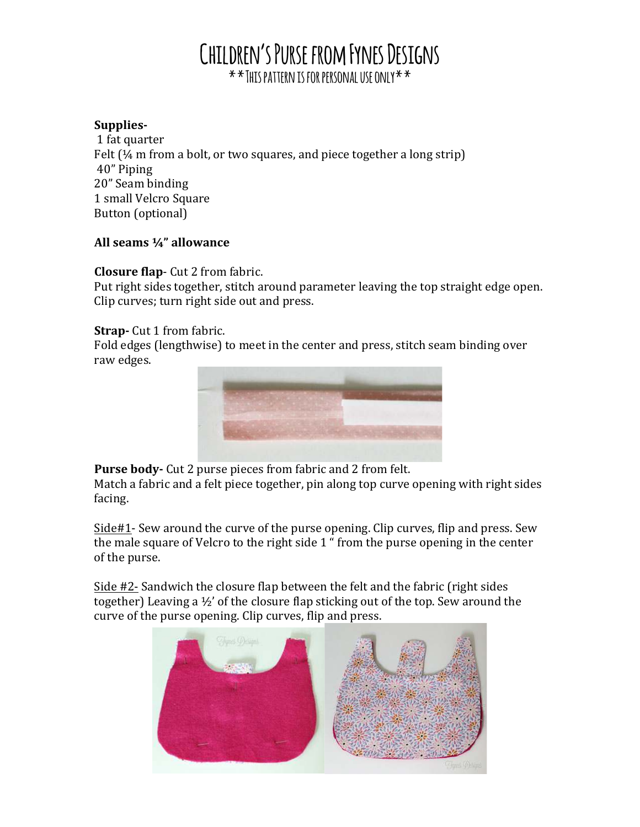# **Children's Purse from Fynes Designs \*\*This pattern is for personal use only\*\***

### Supplies-

1 fat quarter Felt  $(\frac{1}{4}$  m from a bolt, or two squares, and piece together a long strip) 40" 
 Piping 20" Seam binding 1 small Velcro Square Button (optional)

### All seams 1/4" allowance

## **Closure flap**- Cut 2 from fabric.

Put right sides together, stitch around parameter leaving the top straight edge open. Clip curves; turn right side out and press.

## **Strap**- Cut 1 from fabric.

Fold edges (lengthwise) to meet in the center and press, stitch seam binding over raw edges.



**Purse body-** Cut 2 purse pieces from fabric and 2 from felt.

Match a fabric and a felt piece together, pin along top curve opening with right sides facing. 

 $\frac{\text{Side#1}}{\text{Speed}}$  Sew around the curve of the purse opening. Clip curves, flip and press. Sew the male square of Velcro to the right side 1 " from the purse opening in the center of the purse.

Side  $#2$ - Sandwich the closure flap between the felt and the fabric (right sides together) Leaving a  $\frac{1}{2}$  of the closure flap sticking out of the top. Sew around the curve of the purse opening. Clip curves, flip and press.

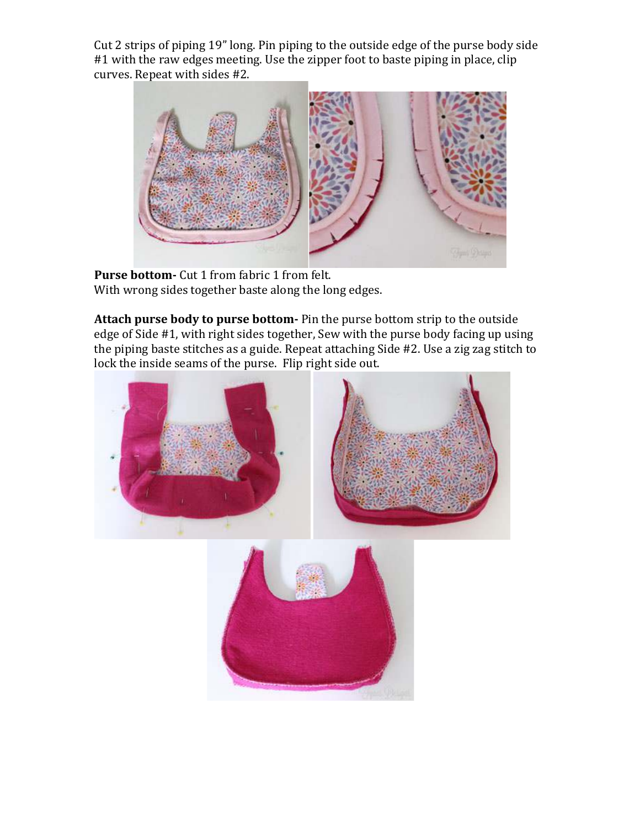Cut 2 strips of piping 19" long. Pin piping to the outside edge of the purse body side #1 with the raw edges meeting. Use the zipper foot to baste piping in place, clip curves. Repeat with sides #2.



**Purse bottom-** Cut 1 from fabric 1 from felt. With wrong sides together baste along the long edges.

Attach purse body to purse bottom- Pin the purse bottom strip to the outside edge of Side #1, with right sides together, Sew with the purse body facing up using the piping baste stitches as a guide. Repeat attaching Side #2. Use a zig zag stitch to lock the inside seams of the purse. Flip right side out.